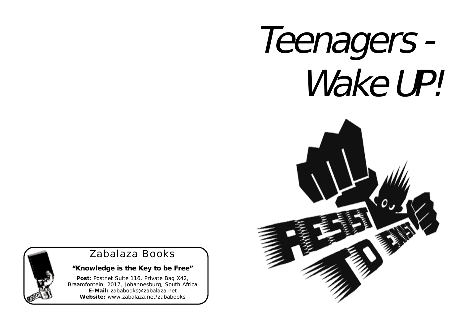# Teenagers - Wake UP!





### Zabalaza Books

### *"Knowledge is the Key to be Free"*

Post: Postnet Suite 116, Private Bag X42, Braamfontein, 2017, Johannesburg, South Africa **E-Mail:** zababooks@zabalaza.net **Website:** www.zabalaza.net/zababooks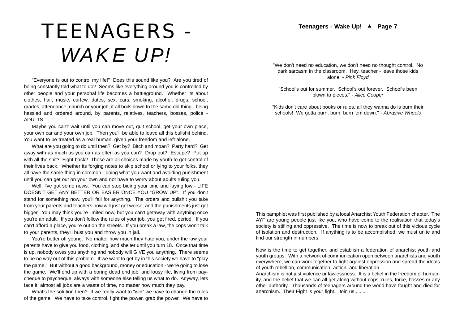### TEENAGERS - *WAKE UP!*

"Everyone is out to control my life!" Does this sound like you? Are you tired of being constantly told what to do? Seems like everything around you is controlled by other people and your personal life becomes a battleground. Whether its about clothes, hair, music, curfew, dates, sex, cars, smoking, alcohol, drugs, school, grades, attendance, church or your job, it all boils down to the same old thing - being hassled and ordered around, by parents, relatives, teachers, bosses, police - ADULTS.

Maybe you can't wait until you can move out, quit school, get your own place, your own car and your own job. Then you'll be able to leave all this bullshit behind. You want to be treated as a real human, given your freedom and left alone.

What are you going to do until then? Get by? Bitch and moan? Party hard? Get away with as much as you can as often as you can? Drop out? Escape? Put up with all the shit? Fight back? These are all choices made by youth to get control of their lives back. Whether its forging notes to skip school or lying to your folks, they all have the same thing in common - doing what you want and avoiding punishment until you can get out on your own and not have to worry about adults ruling you.

Well, I've got some news. You can stop biding your time and laying low - LIFE DOESN'T GET ANY BETTER OR EASIER ONCE YOU "GROW UP". If you don't stand for something now, you'll fall for anything. The orders and bullshit you take from your parents and teachers now will just get worse, and the punishments just get bigger. You may think you're limited now, but you can't getaway with anything once you're an adult. If you don't follow the rules of your job, you get fired, period. If you can't afford a place, you're out on the streets. If you break a law, the cops won't talk to your parents, they'll bust you and throw you in jail.

You're better off young. No matter how much they hate you, under the law your parents have to give you food, clothing, and shelter until you turn 18. Once that time is up, nobody owes you anything and nobody will GIVE you anything. There seems to be no way out of this problem. If we want to get by in this society we have to "play the game." But without a good background, money or education - we're going to lose the game. We'll end up with a boring dead end job, and lousy life, living from paycheque to paycheque, always with someone else telling us what to do. Anyway, lets face it; almost all jobs are a waste of time, no matter how much they pay.

What's the solution then? If we really want to "win" we have to change the rules of the game. We have to take control, fight the power, grab the power. We have to "We don't need no education, we don't need no thought control. No dark sarcasm in the classroom. Hey, teacher - leave those kids alone! - *Pink Floyd*

"School's out for summer. School's out forever. School's been blown to pieces." - *Alice Cooper*

"Kids don't care about books or rules, all they wanna do is burn their schools! We gotta burn, burn, burn 'em down." - *Abrasive Wheels*

This pamphlet was first published by a local Anarchist Youth Federation chapter. The AYF are young people just like you, who have come to the realisation that today's society is stifling and oppressive. The time is now to break out of this vicious cycle of isolation and destruction. If anything is to be accomplished, we must unite and find our strength in numbers.

Now is the time to get together, and establish a federation of anarchist youth and youth groups. With a network of communication open between anarchists and youth everywhere, we can work together to fight against oppression and spread the ideals of youth rebellion, communication, action, and liberation.

Anarchism is not just violence or lawlessness. It is a belief in the freedom of humanity, and the belief that we can all get along without cops, rules, force, bosses or any other authority. Thousands of teenagers around the world have fought and died for anarchism. Their Fight is your fight. Join us.........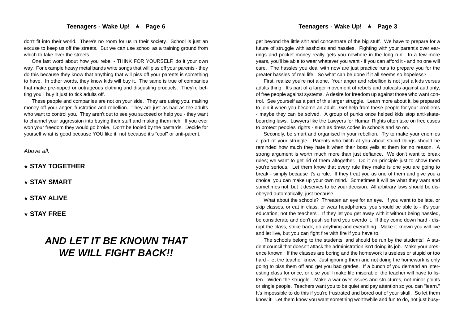don't fit into their world. There's no room for us in their society. School is just an excuse to keep us off the streets. But we can use school as a training ground from which to take over the streets.

One last word about how you rebel - THINK FOR YOURSELF, do it your own way. For example heavy metal bands write songs that will piss off your parents - they do this because they know that anything that will piss off your parents is something to have. In other words, they know kids will buy it. The same is true of companies that make pre-ripped or outrageous clothing and disgusting products. They're betting you'll buy it just to tick adults off.

These people and companies are not on your side. They are using you, making money off your anger, frustration and rebellion. They are just as bad as the adults who want to control you. They aren't out to see you succeed or help you - they want to channel your aggression into buying their stuff and making them rich. If you ever won your freedom they would go broke. Don't be fooled by the bastards. Decide for yourself what is good because YOU like it, not because it's "cool" or anti-parent.

*Above all:*

**STAY TOGETHER**

**STAY SMART**

**STAY ALIVE**

**STAY FREE**

### *AND LET IT BE KNOWN THAT WE WILL FIGHT BACK!!*

get beyond the little shit and concentrate of the big stuff. We have to prepare for a future of struggle with assholes and hassles. Fighting with your parent's over earrings and pocket money really gets you nowhere in the long run. In a few more years, you'll be able to wear whatever you want - if you can afford it - and no one will care. The hassles you deal with now are just practice runs to prepare you for the greater hassles of real life. So what can be done if it all seems so hopeless?

First, realize you're not alone. Your anger and rebellion is not just a kids versus adults thing. It's part of a larger movement of rebels and outcasts against authority, of free people against systems. A desire for freedom up against those who want control. See yourself as a part of this larger struggle. Learn more about it, be prepared to join it when you become an adult. Get help from these people for your problems - maybe they can be solved. A group of punks once helped kids stop anti-skateboarding laws. Lawyers like the Lawyers for Human Rights often take on free cases to protect peoples' rights - such as dress codes in schools and so on.

Secondly, be smart and organised in your rebellion. Try to make your enemies a part of your struggle. Parents who bitch at you about stupid things should be reminded how much they hate it when their boss yells at them for no reason. A strong argument is worth much more than just defiance. We don't want to break rules; we want to get rid of them altogether. Do it on principle just to show them you're serious. Let them know that every rule they make is one you are going to break - simply because it's a rule. If they treat you as one of them and give you a choice, you can make up your own mind. Sometimes it will be what they want and sometimes not, but it deserves to be your decision. All arbitrary laws should be disobeyed automatically, just because.

What about the schools? Threaten an eye for an eye. If you want to be late, or skip classes, or eat in class, or wear headphones, you should be able to - it's your education, not the teachers'. If they let you get away with it without being hassled, be considerate and don't push so hard you overdo it. If they come down hard - disrupt the class, strike back, do anything and everything. Make it known you will live and let live, but you can fight fire with fire if you have to.

The schools belong to the students, and should be run by the students! A student council that doesn't attack the administration isn't doing its job. Make your presence known. If the classes are boring and the homework is useless or stupid or too hard - let the teacher know. Just ignoring them and not doing the homework is only going to piss them off and get you bad grades. If a bunch of you demand an interesting class for once, or else you'll make life miserable, the teacher will have to listen. Widen the struggle. Make a war over issues and structures, not minor points or single people. Teachers want you to be quiet and pay attention so you can "learn." It's impossible to do this if you're frustrated and bored out of your skull. So let them know it! Let them know you want something worthwhile and fun to do, not just busy-